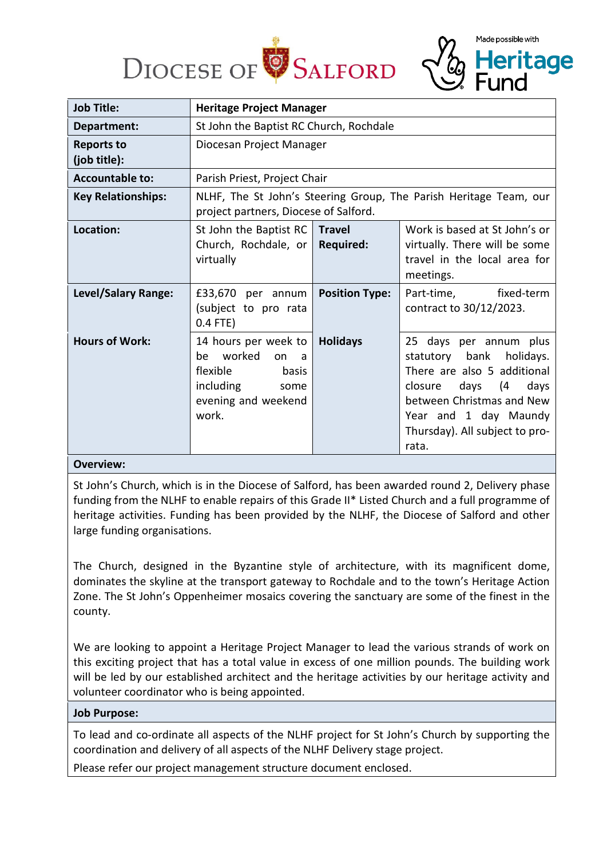



Made possible with

**Heritage** 

### **Overview:**

St John's Church, which is in the Diocese of Salford, has been awarded round 2, Delivery phase funding from the NLHF to enable repairs of this Grade II\* Listed Church and a full programme of heritage activities. Funding has been provided by the NLHF, the Diocese of Salford and other large funding organisations.

The Church, designed in the Byzantine style of architecture, with its magnificent dome, dominates the skyline at the transport gateway to Rochdale and to the town's Heritage Action Zone. The St John's Oppenheimer mosaics covering the sanctuary are some of the finest in the county.

We are looking to appoint a Heritage Project Manager to lead the various strands of work on this exciting project that has a total value in excess of one million pounds. The building work will be led by our established architect and the heritage activities by our heritage activity and volunteer coordinator who is being appointed.

### **Job Purpose:**

To lead and co-ordinate all aspects of the NLHF project for St John's Church by supporting the coordination and delivery of all aspects of the NLHF Delivery stage project.

Please refer our project management structure document enclosed.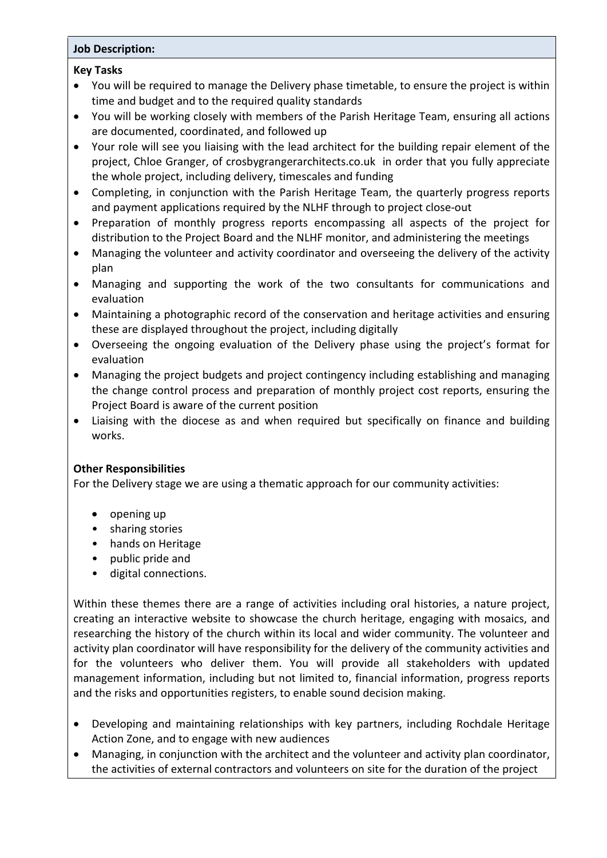# **Job Description:**

## **Key Tasks**

- You will be required to manage the Delivery phase timetable, to ensure the project is within time and budget and to the required quality standards
- You will be working closely with members of the Parish Heritage Team, ensuring all actions are documented, coordinated, and followed up
- Your role will see you liaising with the lead architect for the building repair element of the project, Chloe Granger, of crosbygrangerarchitects.co.uk in order that you fully appreciate the whole project, including delivery, timescales and funding
- Completing, in conjunction with the Parish Heritage Team, the quarterly progress reports and payment applications required by the NLHF through to project close-out
- Preparation of monthly progress reports encompassing all aspects of the project for distribution to the Project Board and the NLHF monitor, and administering the meetings
- Managing the volunteer and activity coordinator and overseeing the delivery of the activity plan
- Managing and supporting the work of the two consultants for communications and evaluation
- Maintaining a photographic record of the conservation and heritage activities and ensuring these are displayed throughout the project, including digitally
- Overseeing the ongoing evaluation of the Delivery phase using the project's format for evaluation
- Managing the project budgets and project contingency including establishing and managing the change control process and preparation of monthly project cost reports, ensuring the Project Board is aware of the current position
- Liaising with the diocese as and when required but specifically on finance and building works.

# **Other Responsibilities**

For the Delivery stage we are using a thematic approach for our community activities:

- opening up
- sharing stories
- hands on Heritage
- public pride and
- digital connections.

Within these themes there are a range of activities including oral histories, a nature project, creating an interactive website to showcase the church heritage, engaging with mosaics, and researching the history of the church within its local and wider community. The volunteer and activity plan coordinator will have responsibility for the delivery of the community activities and for the volunteers who deliver them. You will provide all stakeholders with updated management information, including but not limited to, financial information, progress reports and the risks and opportunities registers, to enable sound decision making.

- Developing and maintaining relationships with key partners, including Rochdale Heritage Action Zone, and to engage with new audiences
- Managing, in conjunction with the architect and the volunteer and activity plan coordinator, the activities of external contractors and volunteers on site for the duration of the project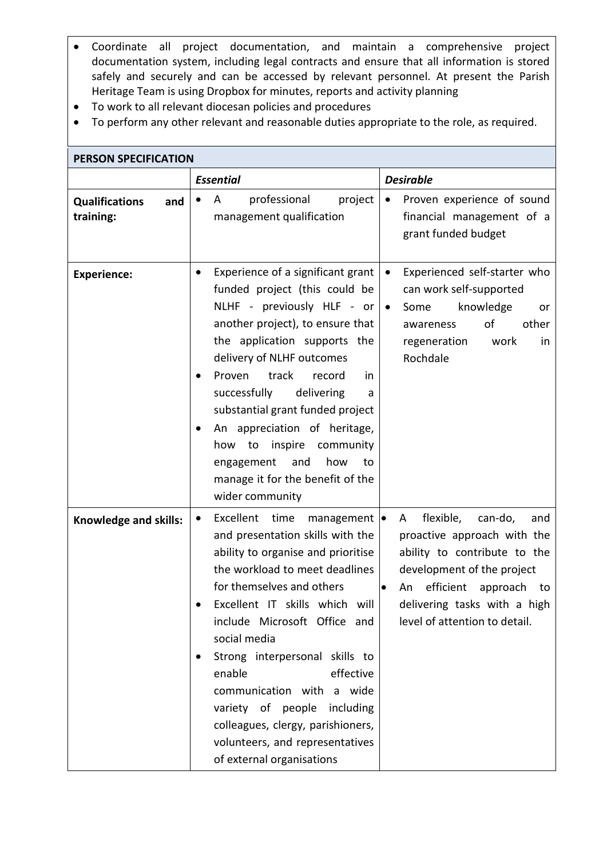- Coordinate all project documentation, and maintain a comprehensive project documentation system, including legal contracts and ensure that all information is stored safely and securely and can be accessed by relevant personnel. At present the Parish Heritage Team is using Dropbox for minutes, reports and activity planning
- To work to all relevant diocesan policies and procedures
- To perform any other relevant and reasonable duties appropriate to the role, as required.

| <b>PERSON SPECIFICATION</b>               |                                                                                                                                                                                                                                                                                                                                                                                                                                                                                                          |                                                                                                                                                                                                                                               |  |  |  |  |
|-------------------------------------------|----------------------------------------------------------------------------------------------------------------------------------------------------------------------------------------------------------------------------------------------------------------------------------------------------------------------------------------------------------------------------------------------------------------------------------------------------------------------------------------------------------|-----------------------------------------------------------------------------------------------------------------------------------------------------------------------------------------------------------------------------------------------|--|--|--|--|
|                                           | <b>Essential</b>                                                                                                                                                                                                                                                                                                                                                                                                                                                                                         | <b>Desirable</b>                                                                                                                                                                                                                              |  |  |  |  |
| <b>Qualifications</b><br>and<br>training: | professional<br>project<br>A<br>management qualification                                                                                                                                                                                                                                                                                                                                                                                                                                                 | Proven experience of sound<br>$\bullet$<br>financial management of a<br>grant funded budget                                                                                                                                                   |  |  |  |  |
| <b>Experience:</b>                        | Experience of a significant grant<br>$\bullet$<br>funded project (this could be<br>NLHF - previously HLF - or<br>another project), to ensure that<br>the application supports the<br>delivery of NLHF outcomes<br>Proven<br>track<br>record<br>in<br>successfully<br>delivering<br>a<br>substantial grant funded project<br>An appreciation of heritage,<br>how to inspire community<br>how<br>and<br>engagement<br>to<br>manage it for the benefit of the<br>wider community                            | Experienced self-starter who<br>$\bullet$<br>can work self-supported<br>knowledge<br>Some<br>$\bullet$<br>or<br>other<br>of<br>awareness<br>regeneration<br>work<br>in<br>Rochdale                                                            |  |  |  |  |
| Knowledge and skills:                     | Excellent time<br>management $\bullet$<br>$\bullet$<br>and presentation skills with the<br>ability to organise and prioritise<br>the workload to meet deadlines<br>for themselves and others<br>Excellent IT skills which will<br>include Microsoft Office and<br>social media<br>Strong interpersonal skills to<br>effective<br>enable<br>communication with a wide<br>variety of people including<br>colleagues, clergy, parishioners,<br>volunteers, and representatives<br>of external organisations | flexible,<br>can-do,<br>A<br>and<br>proactive approach with the<br>ability to contribute to the<br>development of the project<br>efficient<br>An<br>approach to<br>$\bullet$<br>delivering tasks with a high<br>level of attention to detail. |  |  |  |  |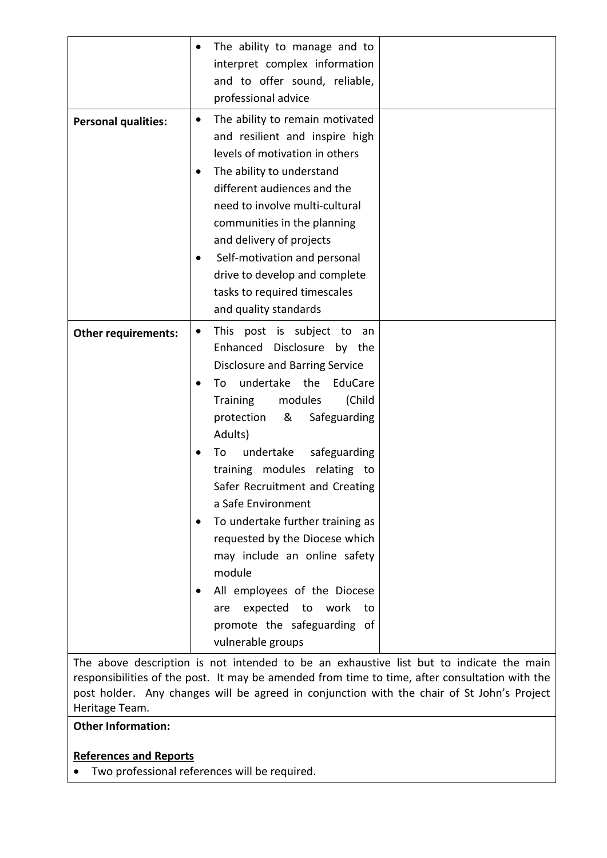|                            | The ability to manage and to<br>٠<br>interpret complex information<br>and to offer sound, reliable,<br>professional advice                                                                                                                                                                                                                                                                                                                                                           |
|----------------------------|--------------------------------------------------------------------------------------------------------------------------------------------------------------------------------------------------------------------------------------------------------------------------------------------------------------------------------------------------------------------------------------------------------------------------------------------------------------------------------------|
| <b>Personal qualities:</b> | The ability to remain motivated<br>٠<br>and resilient and inspire high<br>levels of motivation in others<br>The ability to understand<br>different audiences and the<br>need to involve multi-cultural<br>communities in the planning<br>and delivery of projects<br>Self-motivation and personal<br>drive to develop and complete<br>tasks to required timescales<br>and quality standards                                                                                          |
| <b>Other requirements:</b> | This post is subject to<br>an<br>٠<br>Enhanced Disclosure by the<br><b>Disclosure and Barring Service</b>                                                                                                                                                                                                                                                                                                                                                                            |
|                            | undertake the<br>EduCare<br>To<br><b>Training</b><br>modules<br>(Child<br>protection<br>&<br>Safeguarding<br>Adults)<br>undertake<br>safeguarding<br>To<br>training modules relating to<br>Safer Recruitment and Creating<br>a Safe Environment<br>To undertake further training as<br>requested by the Diocese which<br>may include an online safety<br>module<br>All employees of the Diocese<br>expected to work<br>to<br>are<br>promote the safeguarding of<br>vulnerable groups |

The above description is not intended to be an exhaustive list but to indicate the main responsibilities of the post. It may be amended from time to time, after consultation with the post holder. Any changes will be agreed in conjunction with the chair of St John's Project Heritage Team.

# **Other Information:**

# **References and Reports**

• Two professional references will be required.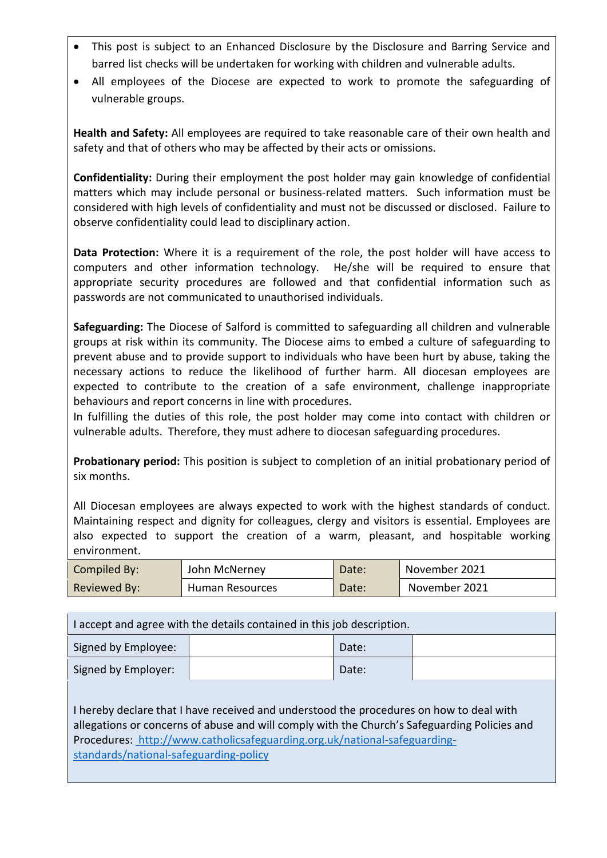- This post is subject to an Enhanced Disclosure by the Disclosure and Barring Service and barred list checks will be undertaken for working with children and vulnerable adults.
- All employees of the Diocese are expected to work to promote the safeguarding of vulnerable groups.

**Health and Safety:** All employees are required to take reasonable care of their own health and safety and that of others who may be affected by their acts or omissions.

**Confidentiality:** During their employment the post holder may gain knowledge of confidential matters which may include personal or business-related matters. Such information must be considered with high levels of confidentiality and must not be discussed or disclosed. Failure to observe confidentiality could lead to disciplinary action.

**Data Protection:** Where it is a requirement of the role, the post holder will have access to computers and other information technology. He/she will be required to ensure that appropriate security procedures are followed and that confidential information such as passwords are not communicated to unauthorised individuals.

**Safeguarding:** The Diocese of Salford is committed to safeguarding all children and vulnerable groups at risk within its community. The Diocese aims to embed a culture of safeguarding to prevent abuse and to provide support to individuals who have been hurt by abuse, taking the necessary actions to reduce the likelihood of further harm. All diocesan employees are expected to contribute to the creation of a safe environment, challenge inappropriate behaviours and report concerns in line with procedures.

In fulfilling the duties of this role, the post holder may come into contact with children or vulnerable adults. Therefore, they must adhere to diocesan safeguarding procedures.

**Probationary period:** This position is subject to completion of an initial probationary period of six months.

All Diocesan employees are always expected to work with the highest standards of conduct. Maintaining respect and dignity for colleagues, clergy and visitors is essential. Employees are also expected to support the creation of a warm, pleasant, and hospitable working environment.

| Compiled By: | John McNerney   | Date: | November 2021 |
|--------------|-----------------|-------|---------------|
| Reviewed By: | Human Resources | Date: | November 2021 |

I accept and agree with the details contained in this job description. Signed by Employee:  $\vert$  Date: Signed by Employer:  $\vert$  Date:

I hereby declare that I have received and understood the procedures on how to deal with allegations or concerns of abuse and will comply with the Church's Safeguarding Policies and Procedures: [http://www.catholicsafeguarding.org.uk/national-safeguarding](https://gbr01.safelinks.protection.outlook.com/?url=http%3A%2F%2Fwww.catholicsafeguarding.org.uk%2Fnational-safeguarding-standards%2Fnational-safeguarding-policy&data=04%7C01%7CEmma.Shalliker%40dioceseofsalford.org.uk%7Cbbd6cae8cfaa4310f00608d9c3b0d0df%7C699a61ae142a45a090c604b2f08de19b%7C0%7C0%7C637755986440929869%7CUnknown%7CTWFpbGZsb3d8eyJWIjoiMC4wLjAwMDAiLCJQIjoiV2luMzIiLCJBTiI6Ik1haWwiLCJXVCI6Mn0%3D%7C3000&sdata=W2YASoTFc1Hk8yzIZIia8j6%2F4%2B8yNHtQEsdJcecfeoo%3D&reserved=0)[standards/national-safeguarding-policy](https://gbr01.safelinks.protection.outlook.com/?url=http%3A%2F%2Fwww.catholicsafeguarding.org.uk%2Fnational-safeguarding-standards%2Fnational-safeguarding-policy&data=04%7C01%7CEmma.Shalliker%40dioceseofsalford.org.uk%7Cbbd6cae8cfaa4310f00608d9c3b0d0df%7C699a61ae142a45a090c604b2f08de19b%7C0%7C0%7C637755986440929869%7CUnknown%7CTWFpbGZsb3d8eyJWIjoiMC4wLjAwMDAiLCJQIjoiV2luMzIiLCJBTiI6Ik1haWwiLCJXVCI6Mn0%3D%7C3000&sdata=W2YASoTFc1Hk8yzIZIia8j6%2F4%2B8yNHtQEsdJcecfeoo%3D&reserved=0)